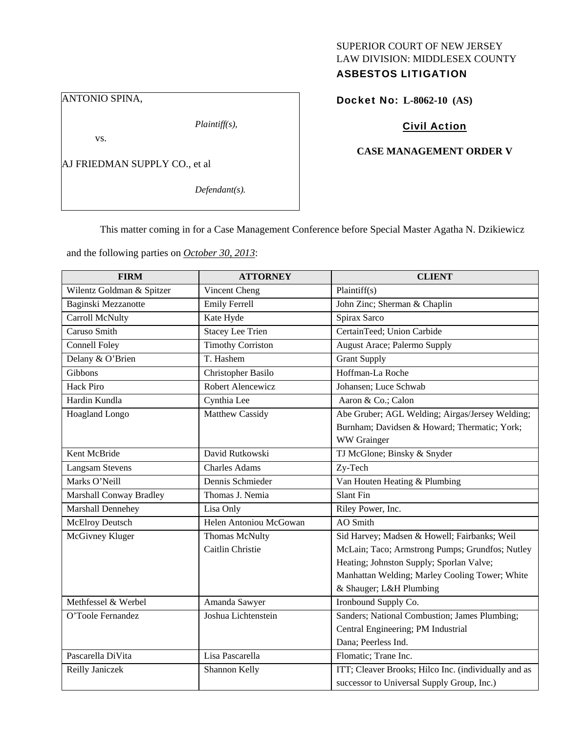## SUPERIOR COURT OF NEW JERSEY LAW DIVISION: MIDDLESEX COUNTY ASBESTOS LITIGATION

ANTONIO SPINA,

*Plaintiff(s),* 

vs.

AJ FRIEDMAN SUPPLY CO., et al

*Defendant(s).* 

Docket No: **L-8062-10 (AS)** 

## Civil Action

#### **CASE MANAGEMENT ORDER V**

This matter coming in for a Case Management Conference before Special Master Agatha N. Dzikiewicz

and the following parties on *October 30, 2013*:

| <b>FIRM</b>               | <b>ATTORNEY</b>          | <b>CLIENT</b>                                        |
|---------------------------|--------------------------|------------------------------------------------------|
| Wilentz Goldman & Spitzer | Vincent Cheng            | Plaintiff(s)                                         |
| Baginski Mezzanotte       | <b>Emily Ferrell</b>     | John Zinc; Sherman & Chaplin                         |
| Carroll McNulty           | Kate Hyde                | Spirax Sarco                                         |
| Caruso Smith              | <b>Stacey Lee Trien</b>  | CertainTeed; Union Carbide                           |
| <b>Connell Foley</b>      | <b>Timothy Corriston</b> | <b>August Arace; Palermo Supply</b>                  |
| Delany & O'Brien          | T. Hashem                | <b>Grant Supply</b>                                  |
| Gibbons                   | Christopher Basilo       | Hoffman-La Roche                                     |
| <b>Hack Piro</b>          | Robert Alencewicz        | Johansen; Luce Schwab                                |
| Hardin Kundla             | Cynthia Lee              | Aaron & Co.; Calon                                   |
| Hoagland Longo            | Matthew Cassidy          | Abe Gruber; AGL Welding; Airgas/Jersey Welding;      |
|                           |                          | Burnham; Davidsen & Howard; Thermatic; York;         |
|                           |                          | WW Grainger                                          |
| Kent McBride              | David Rutkowski          | TJ McGlone; Binsky & Snyder                          |
| <b>Langsam Stevens</b>    | <b>Charles Adams</b>     | Zy-Tech                                              |
| Marks O'Neill             | Dennis Schmieder         | Van Houten Heating & Plumbing                        |
| Marshall Conway Bradley   | Thomas J. Nemia          | <b>Slant Fin</b>                                     |
| Marshall Dennehey         | Lisa Only                | Riley Power, Inc.                                    |
| <b>McElroy Deutsch</b>    | Helen Antoniou McGowan   | AO Smith                                             |
| McGivney Kluger           | <b>Thomas McNulty</b>    | Sid Harvey; Madsen & Howell; Fairbanks; Weil         |
|                           | Caitlin Christie         | McLain; Taco; Armstrong Pumps; Grundfos; Nutley      |
|                           |                          | Heating; Johnston Supply; Sporlan Valve;             |
|                           |                          | Manhattan Welding; Marley Cooling Tower; White       |
|                           |                          | & Shauger; L&H Plumbing                              |
| Methfessel & Werbel       | Amanda Sawyer            | Ironbound Supply Co.                                 |
| O'Toole Fernandez         | Joshua Lichtenstein      | Sanders; National Combustion; James Plumbing;        |
|                           |                          | Central Engineering; PM Industrial                   |
|                           |                          | Dana; Peerless Ind.                                  |
| Pascarella DiVita         | Lisa Pascarella          | Flomatic; Trane Inc.                                 |
| Reilly Janiczek           | Shannon Kelly            | ITT; Cleaver Brooks; Hilco Inc. (individually and as |
|                           |                          | successor to Universal Supply Group, Inc.)           |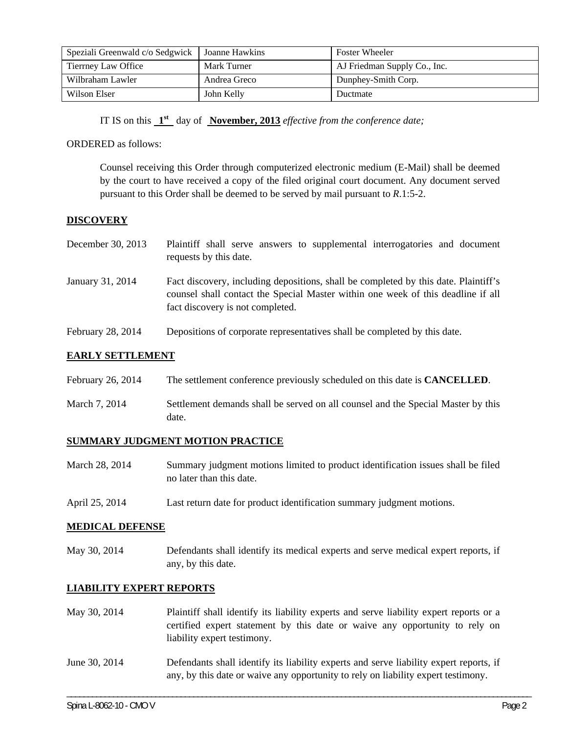| Speziali Greenwald c/o Sedgwick | Joanne Hawkins | <b>Foster Wheeler</b>        |
|---------------------------------|----------------|------------------------------|
| Tierrney Law Office             | Mark Turner    | AJ Friedman Supply Co., Inc. |
| Wilbraham Lawler                | Andrea Greco   | Dunphey-Smith Corp.          |
| Wilson Elser                    | John Kelly     | Ductmate                     |

IT IS on this **1st** day of **November, 2013** *effective from the conference date;* 

#### ORDERED as follows:

Counsel receiving this Order through computerized electronic medium (E-Mail) shall be deemed by the court to have received a copy of the filed original court document. Any document served pursuant to this Order shall be deemed to be served by mail pursuant to *R*.1:5-2.

### **DISCOVERY**

| December 30, 2013 | Plaintiff shall serve answers to supplemental interrogatories and document<br>requests by this date.                                                                                                        |
|-------------------|-------------------------------------------------------------------------------------------------------------------------------------------------------------------------------------------------------------|
| January 31, 2014  | Fact discovery, including depositions, shall be completed by this date. Plaintiff's<br>counsel shall contact the Special Master within one week of this deadline if all<br>fact discovery is not completed. |
| February 28, 2014 | Depositions of corporate representatives shall be completed by this date.                                                                                                                                   |

## **EARLY SETTLEMENT**

| February 26, 2014 | The settlement conference previously scheduled on this date is <b>CANCELLED</b> . |
|-------------------|-----------------------------------------------------------------------------------|
| March 7, 2014     | Settlement demands shall be served on all counsel and the Special Master by this  |

### **SUMMARY JUDGMENT MOTION PRACTICE**

date.

- March 28, 2014 Summary judgment motions limited to product identification issues shall be filed no later than this date.
- April 25, 2014 Last return date for product identification summary judgment motions.

### **MEDICAL DEFENSE**

May 30, 2014 Defendants shall identify its medical experts and serve medical expert reports, if any, by this date.

### **LIABILITY EXPERT REPORTS**

- May 30, 2014 Plaintiff shall identify its liability experts and serve liability expert reports or a certified expert statement by this date or waive any opportunity to rely on liability expert testimony.
- June 30, 2014 Defendants shall identify its liability experts and serve liability expert reports, if any, by this date or waive any opportunity to rely on liability expert testimony.

\_\_\_\_\_\_\_\_\_\_\_\_\_\_\_\_\_\_\_\_\_\_\_\_\_\_\_\_\_\_\_\_\_\_\_\_\_\_\_\_\_\_\_\_\_\_\_\_\_\_\_\_\_\_\_\_\_\_\_\_\_\_\_\_\_\_\_\_\_\_\_\_\_\_\_\_\_\_\_\_\_\_\_\_\_\_\_\_\_\_\_\_\_\_\_\_\_\_\_\_\_\_\_\_\_\_\_\_\_\_